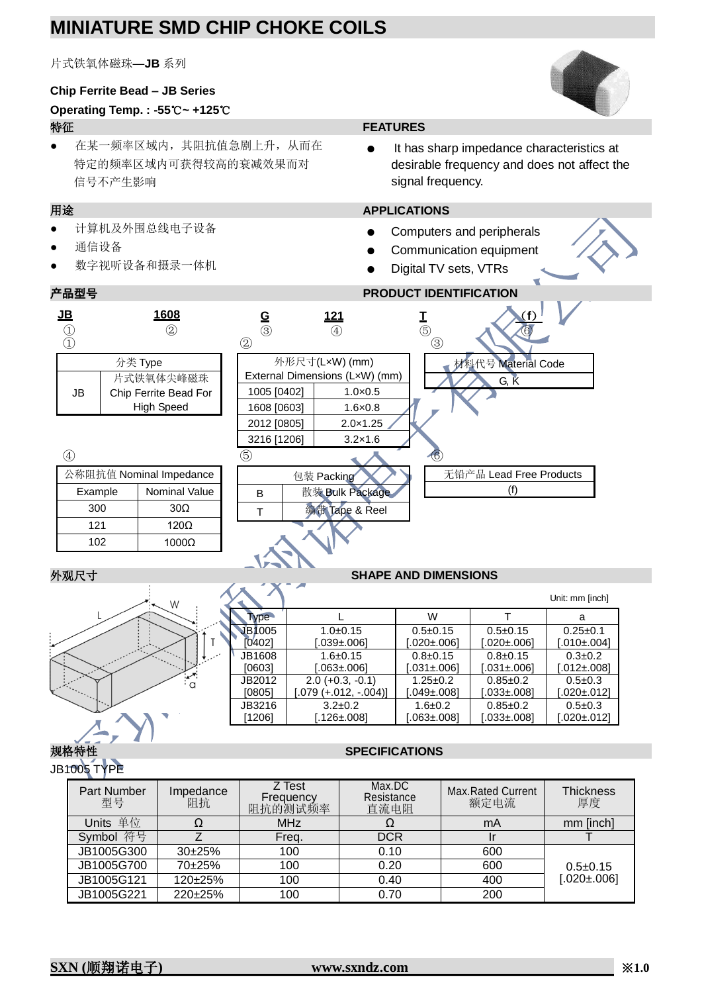## **MINIATURE SMD CHIP CHOKE COILS**

片式铁氧体磁珠—**JB** 系列

### **Chip Ferrite Bead – JB Series**

### **Operating Temp. : -55**℃**~ +125**℃ 特征 **FEATURES**

● 在某一频率区域内,其阻抗值急剧上升,从而在 特定的频率区域内可获得较高的衰减效果而对 信号不产生影响

- 计算机及外围总线电子设备
- 通信设备
- 数字视听设备和摄录一体机

It has sharp impedance characteristics at desirable frequency and does not affect the signal frequency.

### 用途 **APPLICATIONS**

- Computers and peripherals
- Communication equipment
- Digital TV sets, VTRs





## 外观尺寸 SHAPE AND DIMENSIONS

| W                |            |                         |                    |                   | Unit: mm [inch]   |
|------------------|------------|-------------------------|--------------------|-------------------|-------------------|
|                  | <b>VDe</b> |                         | W                  |                   | a                 |
|                  | JB1005     | $1.0 + 0.15$            | $0.5+0.15$         | $0.5 \pm 0.15$    | $0.25 \pm 0.1$    |
|                  | 04021      | $0.039 \pm 0.061$       | $0.020 \pm 0.061$  | 1.020±.0061       | $[.010 \pm 004]$  |
|                  | JB1608     | $1.6 + 0.15$            | $0.8 + 0.15$       | $0.8 + 0.15$      | $0.3 \pm 0.2$     |
|                  | [0603]     | 1.063±.0061             | $0.031 \pm 0.061$  | $0.031 \pm 0.061$ | $[.012 \pm .008]$ |
| $\sum_{i=1}^{n}$ | JB2012     | $2.0 (+0.3, -0.1)$      | $1.25 \pm 0.2$     | $0.85 \pm 0.2$    | $0.5 \pm 0.3$     |
|                  | [0805]     | $[.079 (+.012, -.004)]$ | $0.049 \pm 0.0081$ | [.033±.008]       | $[.020 \pm .012]$ |
|                  | JB3216     | $3.2 \pm 0.2$           | $1.6 + 0.2$        | $0.85 \pm 0.2$    | $0.5 \pm 0.3$     |
|                  | [1206]     | [.126±.008]             | 1.063±.0081        | [.033±.008]       | $[.020 \pm .012]$ |

### 规格特性 **SPECIFICATIONS**

### JB1005 TYPE Part Number 型号 Impedance 阻抗 Z Test **Frequency** 阻抗的测试频率 Max.DC **Resistance** 直流电阻 Max.Rated Current 额定电流 **Thickness** 厚度 Units 单位 Ω MHz Ω mA mm [inch] Symbol 符号 | Z | Freq. | DCR | Ir | T JB1005G300 30±25% 100 0.10 600  $0.5+0.15$ [.020±.006] JB1005G700 70±25% 100 0.20 600 JB1005G121 | 120±25% | 100 | 0.40 | 400 JB1005G221 220±25% 100 0.70 200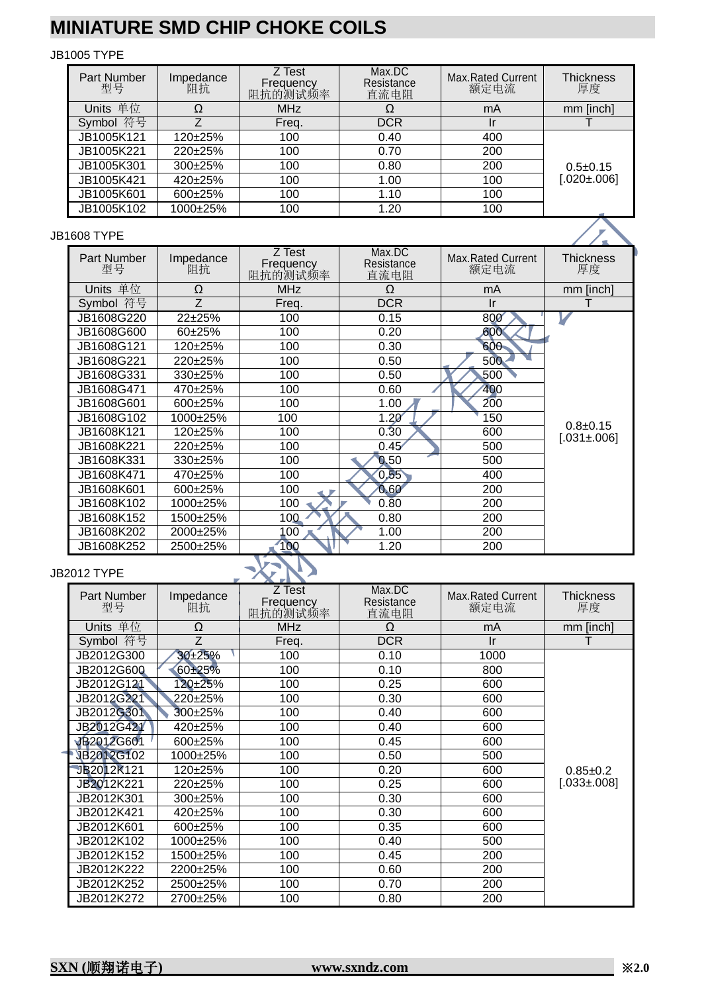# **MINIATURE SMD CHIP CHOKE COILS**

### JB1005 TYPE

| <b>Part Number</b><br>型号 | Impedance<br>阻抗 | Z Test<br>Frequency<br>阻抗的测试频率 | Max.DC<br>Resistance<br>直流电阻 | <b>Max.Rated Current</b><br>额定电流 | Thickness<br>厚度   |
|--------------------------|-----------------|--------------------------------|------------------------------|----------------------------------|-------------------|
| Units 单位                 |                 | <b>MHz</b>                     |                              | mA                               | mm [inch]         |
| Symbol 符号                |                 | Freq.                          | <b>DCR</b>                   |                                  |                   |
| JB1005K121               | 120±25%         | 100                            | 0.40                         | 400                              |                   |
| JB1005K221               | 220±25%         | 100                            | 0.70                         | 200                              |                   |
| JB1005K301               | 300±25%         | 100                            | 0.80                         | 200                              | $0.5 + 0.15$      |
| JB1005K421               | 420±25%         | 100                            | 1.00                         | 100                              | $[.020 \pm .006]$ |
| JB1005K601               | 600±25%         | 100                            | 1.10                         | 100                              |                   |
| JB1005K102               | 1000±25%        | 100                            | 1.20                         | 100                              |                   |

### JB1608 TYPE

| – יי ט <b>טט</b><br>$\sim$ |                 |                                |                              |                                  |                                   |  |
|----------------------------|-----------------|--------------------------------|------------------------------|----------------------------------|-----------------------------------|--|
| Part Number<br>型号          | Impedance<br>阻抗 | Z Test<br>Frequency<br>阻抗的测试频率 | Max.DC<br>Resistance<br>直流电阻 | <b>Max.Rated Current</b><br>额定电流 | <b>Thickness</b><br>厚度            |  |
| Units 单位                   | Ω               | <b>MHz</b>                     | Ω                            | mA                               | mm [inch]                         |  |
| Symbol 符号                  | Z               | Freq.                          | <b>DCR</b>                   | <u>Ir</u>                        |                                   |  |
| JB1608G220                 | $22 + 25%$      | 100                            | 0.15                         | 800                              |                                   |  |
| JB1608G600                 | 60±25%          | 100                            | 0.20                         | 600                              |                                   |  |
| JB1608G121                 | 120±25%         | 100                            | 0.30                         | 600                              |                                   |  |
| JB1608G221                 | 220±25%         | 100                            | 0.50                         | 500                              |                                   |  |
| JB1608G331                 | 330±25%         | 100                            | 0.50                         | 500                              |                                   |  |
| JB1608G471                 | 470±25%         | 100                            | 0.60                         | 400                              |                                   |  |
| JB1608G601                 | 600±25%         | 100                            | 1.00                         | 200                              |                                   |  |
| JB1608G102                 | 1000±25%        | 100                            | 1.20                         | 150                              |                                   |  |
| JB1608K121                 | 120±25%         | 100                            | 0.30                         | 600                              | $0.8 + 0.15$<br>$[.031 \pm .006]$ |  |
| JB1608K221                 | 220±25%         | 100                            | 0.45                         | 500                              |                                   |  |
| JB1608K331                 | $330+25%$       | 100                            | 0.50                         | 500                              |                                   |  |
| JB1608K471                 | 470±25%         | 100                            | 0,55                         | 400                              |                                   |  |
| JB1608K601                 | $600+25%$       | 100<br>$\overline{a}$          | 0.60                         | 200                              |                                   |  |
| JB1608K102                 | 1000±25%        | 100                            | 0.80                         | 200                              |                                   |  |
| JB1608K152                 | 1500±25%        | 100                            | 0.80                         | 200                              |                                   |  |
| JB1608K202                 | 2000±25%        | 100                            | 1.00                         | 200                              |                                   |  |
| JB1608K252                 | 2500±25%        | 100                            | 1.20                         | 200                              |                                   |  |

### JB2012 TYPE

k.

| Part Number<br>型号 | Impedance<br>阻抗 | Z Test<br>Frequency<br>阻抗的测试频率 | Max.DC<br>Resistance<br>直流电阻 | <b>Max.Rated Current</b><br>额定电流 | <b>Thickness</b><br>厚度 |
|-------------------|-----------------|--------------------------------|------------------------------|----------------------------------|------------------------|
| Units 单位          | Ω               | <b>MHz</b>                     | Ω                            | mA                               | mm [inch]              |
| Symbol 符号         | Z               | Freq.                          | <b>DCR</b>                   | <b>Ir</b>                        |                        |
| JB2012G300        | $30 + 25%$      | 100                            | 0.10                         | 1000                             |                        |
| JB2012G600        | 60±25%          | 100                            | 0.10                         | 800                              |                        |
| JB2012G121        | 120±25%         | 100                            | 0.25                         | 600                              |                        |
| JB2012G221        | 220±25%         | 100                            | 0.30                         | 600                              |                        |
| JB2012G301        | 300±25%         | 100                            | 0.40                         | 600                              |                        |
| JB2012G421        | $420 \pm 25\%$  | 100                            | 0.40                         | 600                              |                        |
| JB2012G601        | $600+25%$       | 100                            | 0.45                         | 600                              |                        |
| JB2012G102        | 1000±25%        | 100                            | 0.50                         | 500                              |                        |
| JB2012K121        | 120±25%         | 100                            | 0.20                         | 600                              | $0.85 + 0.2$           |
| JB2012K221        | 220±25%         | 100                            | 0.25                         | 600                              | $[.033 \pm 0.08]$      |
| JB2012K301        | 300±25%         | 100                            | 0.30                         | 600                              |                        |
| JB2012K421        | 420±25%         | 100                            | 0.30                         | 600                              |                        |
| JB2012K601        | 600±25%         | 100                            | 0.35                         | 600                              |                        |
| JB2012K102        | 1000±25%        | 100                            | 0.40                         | 500                              |                        |
| JB2012K152        | 1500±25%        | 100                            | 0.45                         | 200                              |                        |
| JB2012K222        | 2200±25%        | 100                            | 0.60                         | 200                              |                        |
| JB2012K252        | 2500±25%        | 100                            | 0.70                         | 200                              |                        |
| JB2012K272        | 2700±25%        | 100                            | 0.80                         | 200                              |                        |

╱┏